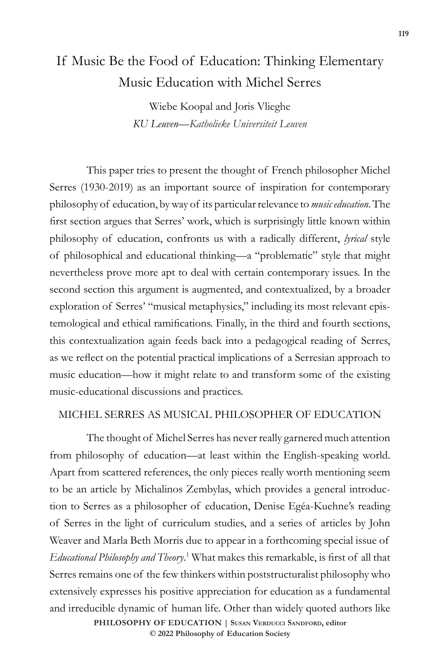# If Music Be the Food of Education: Thinking Elementary Music Education with Michel Serres

Wiebe Koopal and Joris Vlieghe *KU Leuven—Katholieke Universiteit Leuven*

This paper tries to present the thought of French philosopher Michel Serres (1930-2019) as an important source of inspiration for contemporary philosophy of education, by way of its particular relevance to *music education*. The first section argues that Serres' work, which is surprisingly little known within philosophy of education, confronts us with a radically different, *lyrical* style of philosophical and educational thinking—a "problematic" style that might nevertheless prove more apt to deal with certain contemporary issues. In the second section this argument is augmented, and contextualized, by a broader exploration of Serres' "musical metaphysics," including its most relevant epistemological and ethical ramifications. Finally, in the third and fourth sections, this contextualization again feeds back into a pedagogical reading of Serres, as we reflect on the potential practical implications of a Serresian approach to music education—how it might relate to and transform some of the existing music-educational discussions and practices.

#### MICHEL SERRES AS MUSICAL PHILOSOPHER OF EDUCATION

The thought of Michel Serres has never really garnered much attention from philosophy of education—at least within the English-speaking world. Apart from scattered references, the only pieces really worth mentioning seem to be an article by Michalinos Zembylas, which provides a general introduction to Serres as a philosopher of education, Denise Egéa-Kuehne's reading of Serres in the light of curriculum studies, and a series of articles by John Weaver and Marla Beth Morris due to appear in a forthcoming special issue of *Educational Philosophy and Theory*. 1 What makes this remarkable, is first of all that Serres remains one of the few thinkers within poststructuralist philosophy who extensively expresses his positive appreciation for education as a fundamental and irreducible dynamic of human life. Other than widely quoted authors like

> **doi: 10.47925/78.1.119 PHILOSOPHY OF EDUCATION | Susan Verducci Sandford, editor © 2022 Philosophy of Education Society**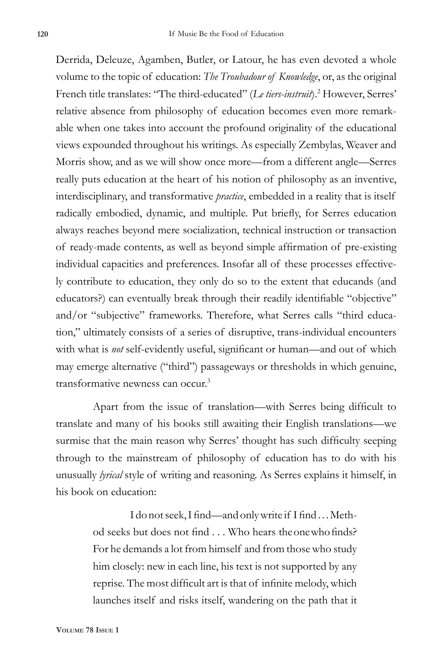Derrida, Deleuze, Agamben, Butler, or Latour, he has even devoted a whole volume to the topic of education: *The Troubadour of Knowledge*, or, as the original French title translates: "The third-educated" (*Le tiers-instruit*).<sup>2</sup> However, Serres' relative absence from philosophy of education becomes even more remarkable when one takes into account the profound originality of the educational views expounded throughout his writings. As especially Zembylas, Weaver and Morris show, and as we will show once more—from a different angle—Serres really puts education at the heart of his notion of philosophy as an inventive, interdisciplinary, and transformative *practice*, embedded in a reality that is itself radically embodied, dynamic, and multiple. Put briefly, for Serres education always reaches beyond mere socialization, technical instruction or transaction of ready-made contents, as well as beyond simple affirmation of pre-existing individual capacities and preferences. Insofar all of these processes effectively contribute to education, they only do so to the extent that educands (and educators?) can eventually break through their readily identifiable "objective" and/or "subjective" frameworks. Therefore, what Serres calls "third education," ultimately consists of a series of disruptive, trans-individual encounters with what is *not* self-evidently useful, significant or human—and out of which may emerge alternative ("third") passageways or thresholds in which genuine, transformative newness can occur.<sup>3</sup>

Apart from the issue of translation—with Serres being difficult to translate and many of his books still awaiting their English translations—we surmise that the main reason why Serres' thought has such difficulty seeping through to the mainstream of philosophy of education has to do with his unusually *lyrical* style of writing and reasoning. As Serres explains it himself, in his book on education:

> I do not seek, I find—and only write if I find . . . Method seeks but does not find . . . Who hears the one who finds? For he demands a lot from himself and from those who study him closely: new in each line, his text is not supported by any reprise. The most difficult art is that of infinite melody, which launches itself and risks itself, wandering on the path that it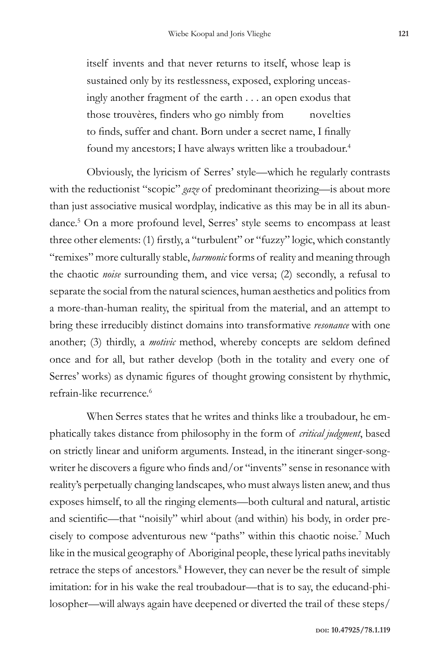itself invents and that never returns to itself, whose leap is sustained only by its restlessness, exposed, exploring unceasingly another fragment of the earth . . . an open exodus that those trouvères, finders who go nimbly from novelties to finds, suffer and chant. Born under a secret name, I finally found my ancestors; I have always written like a troubadour.<sup>4</sup>

Obviously, the lyricism of Serres' style—which he regularly contrasts with the reductionist "scopic" *gaze* of predominant theorizing—is about more than just associative musical wordplay, indicative as this may be in all its abundance.5 On a more profound level, Serres' style seems to encompass at least three other elements: (1) firstly, a "turbulent" or "fuzzy" logic, which constantly "remixes" more culturally stable, *harmonic* forms of reality and meaning through the chaotic *noise* surrounding them, and vice versa; (2) secondly, a refusal to separate the social from the natural sciences, human aesthetics and politics from a more-than-human reality, the spiritual from the material, and an attempt to bring these irreducibly distinct domains into transformative *resonance* with one another; (3) thirdly, a *motivic* method, whereby concepts are seldom defined once and for all, but rather develop (both in the totality and every one of Serres' works) as dynamic figures of thought growing consistent by rhythmic, refrain-like recurrence.<sup>6</sup>

When Serres states that he writes and thinks like a troubadour, he emphatically takes distance from philosophy in the form of *critical judgment*, based on strictly linear and uniform arguments. Instead, in the itinerant singer-songwriter he discovers a figure who finds and/or "invents" sense in resonance with reality's perpetually changing landscapes, who must always listen anew, and thus exposes himself, to all the ringing elements—both cultural and natural, artistic and scientific—that "noisily" whirl about (and within) his body, in order precisely to compose adventurous new "paths" within this chaotic noise.7 Much like in the musical geography of Aboriginal people, these lyrical paths inevitably retrace the steps of ancestors.<sup>8</sup> However, they can never be the result of simple imitation: for in his wake the real troubadour—that is to say, the educand-philosopher—will always again have deepened or diverted the trail of these steps/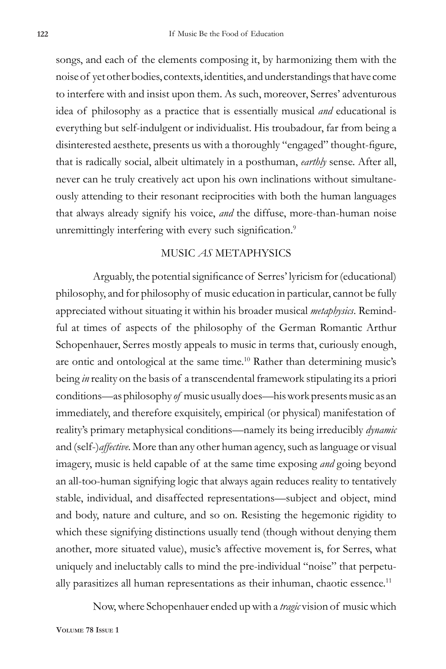songs, and each of the elements composing it, by harmonizing them with the noise of yet other bodies, contexts, identities, and understandings that have come to interfere with and insist upon them. As such, moreover, Serres' adventurous idea of philosophy as a practice that is essentially musical *and* educational is everything but self-indulgent or individualist. His troubadour, far from being a disinterested aesthete, presents us with a thoroughly "engaged" thought-figure, that is radically social, albeit ultimately in a posthuman, *earthly* sense. After all, never can he truly creatively act upon his own inclinations without simultaneously attending to their resonant reciprocities with both the human languages that always already signify his voice, *and* the diffuse, more-than-human noise unremittingly interfering with every such signification.<sup>9</sup>

### MUSIC *AS* METAPHYSICS

Arguably, the potential significance of Serres' lyricism for (educational) philosophy, and for philosophy of music education in particular, cannot be fully appreciated without situating it within his broader musical *metaphysics*. Remindful at times of aspects of the philosophy of the German Romantic Arthur Schopenhauer, Serres mostly appeals to music in terms that, curiously enough, are ontic and ontological at the same time.<sup>10</sup> Rather than determining music's being *in* reality on the basis of a transcendental framework stipulating its a priori conditions—as philosophy *of* music usually does—his work presents music as an immediately, and therefore exquisitely, empirical (or physical) manifestation of reality's primary metaphysical conditions—namely its being irreducibly *dynamic*  and (self-)*affective*. More than any other human agency, such as language or visual imagery, music is held capable of at the same time exposing *and* going beyond an all-too-human signifying logic that always again reduces reality to tentatively stable, individual, and disaffected representations—subject and object, mind and body, nature and culture, and so on. Resisting the hegemonic rigidity to which these signifying distinctions usually tend (though without denying them another, more situated value), music's affective movement is, for Serres, what uniquely and ineluctably calls to mind the pre-individual "noise" that perpetually parasitizes all human representations as their inhuman, chaotic essence.<sup>11</sup>

Now, where Schopenhauer ended up with a *tragic* vision of music which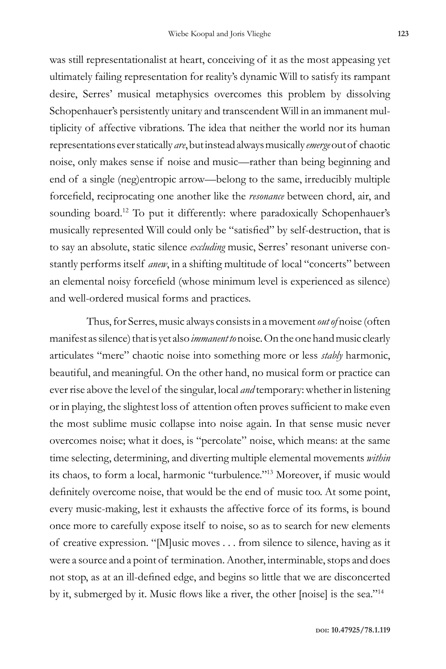was still representationalist at heart, conceiving of it as the most appeasing yet ultimately failing representation for reality's dynamic Will to satisfy its rampant desire, Serres' musical metaphysics overcomes this problem by dissolving Schopenhauer's persistently unitary and transcendent Will in an immanent multiplicity of affective vibrations. The idea that neither the world nor its human representations ever statically *are*, but instead always musically *emerge* out of chaotic noise, only makes sense if noise and music—rather than being beginning and end of a single (neg)entropic arrow—belong to the same, irreducibly multiple forcefield, reciprocating one another like the *resonance* between chord, air, and sounding board.<sup>12</sup> To put it differently: where paradoxically Schopenhauer's musically represented Will could only be "satisfied" by self-destruction, that is to say an absolute, static silence *excluding* music, Serres' resonant universe constantly performs itself *anew*, in a shifting multitude of local "concerts" between an elemental noisy forcefield (whose minimum level is experienced as silence) and well-ordered musical forms and practices.

Thus, for Serres, music always consists in a movement *out of* noise (often manifest as silence) that is yet also *immanent to* noise. On the one hand music clearly articulates "mere" chaotic noise into something more or less *stably* harmonic, beautiful, and meaningful. On the other hand, no musical form or practice can ever rise above the level of the singular, local *and* temporary: whether in listening or in playing, the slightest loss of attention often proves sufficient to make even the most sublime music collapse into noise again. In that sense music never overcomes noise; what it does, is "percolate" noise, which means: at the same time selecting, determining, and diverting multiple elemental movements *within* its chaos, to form a local, harmonic "turbulence."13 Moreover, if music would definitely overcome noise, that would be the end of music too. At some point, every music-making, lest it exhausts the affective force of its forms, is bound once more to carefully expose itself to noise, so as to search for new elements of creative expression. "[M]usic moves . . . from silence to silence, having as it were a source and a point of termination. Another, interminable, stops and does not stop, as at an ill-defined edge, and begins so little that we are disconcerted by it, submerged by it. Music flows like a river, the other [noise] is the sea."14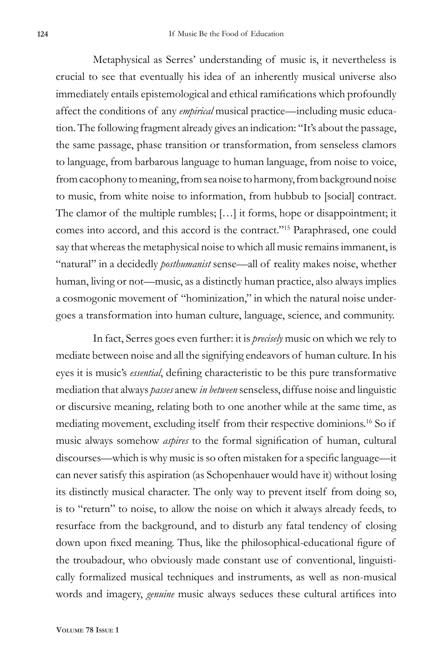Metaphysical as Serres' understanding of music is, it nevertheless is crucial to see that eventually his idea of an inherently musical universe also immediately entails epistemological and ethical ramifications which profoundly affect the conditions of any *empirical* musical practice—including music education. The following fragment already gives an indication: "It's about the passage, the same passage, phase transition or transformation, from senseless clamors to language, from barbarous language to human language, from noise to voice, from cacophony to meaning, from sea noise to harmony, from background noise to music, from white noise to information, from hubbub to [social] contract. The clamor of the multiple rumbles; […] it forms, hope or disappointment; it comes into accord, and this accord is the contract."15 Paraphrased, one could say that whereas the metaphysical noise to which all music remains immanent, is "natural" in a decidedly *posthumanist* sense—all of reality makes noise, whether human, living or not—music, as a distinctly human practice, also always implies a cosmogonic movement of "hominization," in which the natural noise undergoes a transformation into human culture, language, science, and community.

In fact, Serres goes even further: it is *precisely* music on which we rely to mediate between noise and all the signifying endeavors of human culture. In his eyes it is music's *essential*, defining characteristic to be this pure transformative mediation that always *passes* anew *in between* senseless, diffuse noise and linguistic or discursive meaning, relating both to one another while at the same time, as mediating movement, excluding itself from their respective dominions.16 So if music always somehow *aspires* to the formal signification of human, cultural discourses—which is why music is so often mistaken for a specific language—it can never satisfy this aspiration (as Schopenhauer would have it) without losing its distinctly musical character. The only way to prevent itself from doing so, is to "return" to noise, to allow the noise on which it always already feeds, to resurface from the background, and to disturb any fatal tendency of closing down upon fixed meaning. Thus, like the philosophical-educational figure of the troubadour, who obviously made constant use of conventional, linguistically formalized musical techniques and instruments, as well as non-musical words and imagery, *genuine* music always seduces these cultural artifices into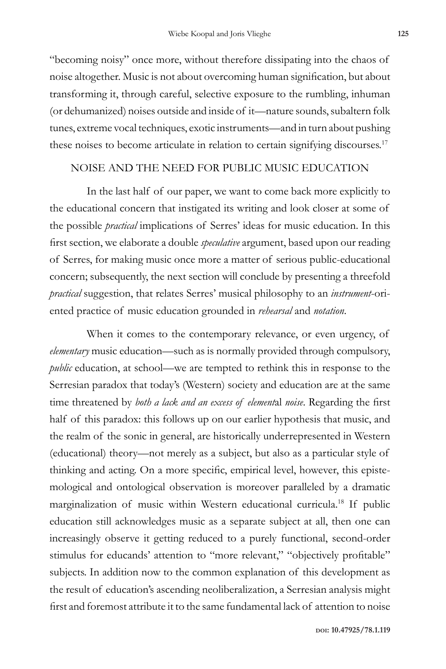"becoming noisy" once more, without therefore dissipating into the chaos of noise altogether. Music is not about overcoming human signification, but about transforming it, through careful, selective exposure to the rumbling, inhuman (or dehumanized) noises outside and inside of it—nature sounds, subaltern folk tunes, extreme vocal techniques, exotic instruments—and in turn about pushing these noises to become articulate in relation to certain signifying discourses.<sup>17</sup>

## NOISE AND THE NEED FOR PUBLIC MUSIC EDUCATION

In the last half of our paper, we want to come back more explicitly to the educational concern that instigated its writing and look closer at some of the possible *practical* implications of Serres' ideas for music education. In this first section, we elaborate a double *speculative* argument, based upon our reading of Serres, for making music once more a matter of serious public-educational concern; subsequently, the next section will conclude by presenting a threefold *practical* suggestion, that relates Serres' musical philosophy to an *instrument*-oriented practice of music education grounded in *rehearsal* and *notation*.

When it comes to the contemporary relevance, or even urgency, of *elementary* music education—such as is normally provided through compulsory, *public* education, at school—we are tempted to rethink this in response to the Serresian paradox that today's (Western) society and education are at the same time threatened by *both a lack and an excess of element*al *noise*. Regarding the first half of this paradox: this follows up on our earlier hypothesis that music, and the realm of the sonic in general, are historically underrepresented in Western (educational) theory—not merely as a subject, but also as a particular style of thinking and acting. On a more specific, empirical level, however, this epistemological and ontological observation is moreover paralleled by a dramatic marginalization of music within Western educational curricula.18 If public education still acknowledges music as a separate subject at all, then one can increasingly observe it getting reduced to a purely functional, second-order stimulus for educands' attention to "more relevant," "objectively profitable" subjects. In addition now to the common explanation of this development as the result of education's ascending neoliberalization, a Serresian analysis might first and foremost attribute it to the same fundamental lack of attention to noise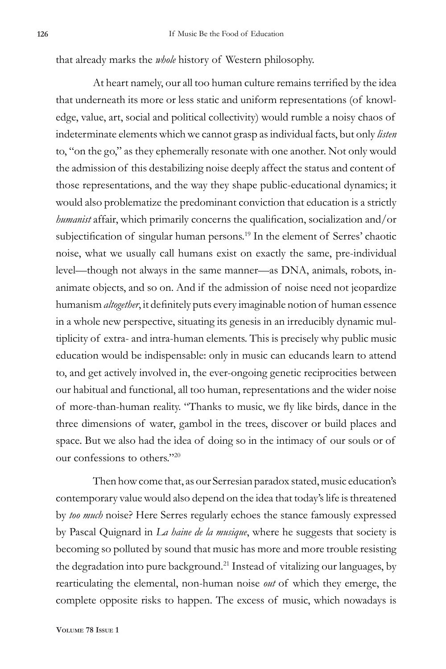that already marks the *whole* history of Western philosophy.

At heart namely, our all too human culture remains terrified by the idea that underneath its more or less static and uniform representations (of knowledge, value, art, social and political collectivity) would rumble a noisy chaos of indeterminate elements which we cannot grasp as individual facts, but only *listen* to, "on the go," as they ephemerally resonate with one another. Not only would the admission of this destabilizing noise deeply affect the status and content of those representations, and the way they shape public-educational dynamics; it would also problematize the predominant conviction that education is a strictly *humanist* affair, which primarily concerns the qualification, socialization and/or subjectification of singular human persons.<sup>19</sup> In the element of Serres' chaotic noise, what we usually call humans exist on exactly the same, pre-individual level—though not always in the same manner—as DNA, animals, robots, inanimate objects, and so on. And if the admission of noise need not jeopardize humanism *altogether*, it definitely puts every imaginable notion of human essence in a whole new perspective, situating its genesis in an irreducibly dynamic multiplicity of extra- and intra-human elements. This is precisely why public music education would be indispensable: only in music can educands learn to attend to, and get actively involved in, the ever-ongoing genetic reciprocities between our habitual and functional, all too human, representations and the wider noise of more-than-human reality. "Thanks to music, we fly like birds, dance in the three dimensions of water, gambol in the trees, discover or build places and space. But we also had the idea of doing so in the intimacy of our souls or of our confessions to others."20

Then how come that, as our Serresian paradox stated, music education's contemporary value would also depend on the idea that today's life is threatened by *too much* noise? Here Serres regularly echoes the stance famously expressed by Pascal Quignard in *La haine de la musique*, where he suggests that society is becoming so polluted by sound that music has more and more trouble resisting the degradation into pure background.<sup>21</sup> Instead of vitalizing our languages, by rearticulating the elemental, non-human noise *out* of which they emerge, the complete opposite risks to happen. The excess of music, which nowadays is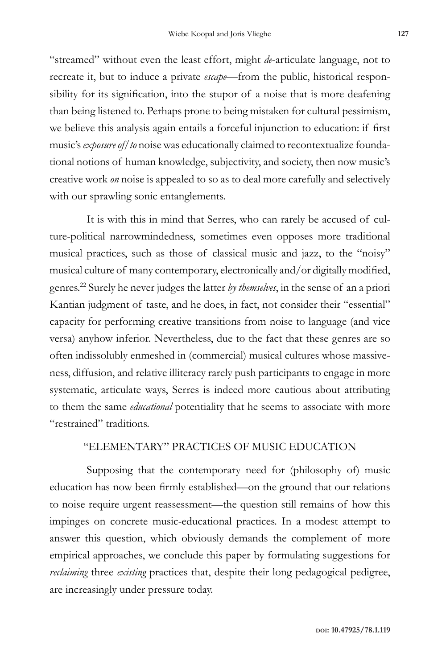"streamed" without even the least effort, might *de*-articulate language, not to recreate it, but to induce a private *escape*—from the public, historical responsibility for its signification, into the stupor of a noise that is more deafening than being listened to. Perhaps prone to being mistaken for cultural pessimism, we believe this analysis again entails a forceful injunction to education: if first music's *exposure of/to* noise was educationally claimed to recontextualize foundational notions of human knowledge, subjectivity, and society, then now music's creative work *on* noise is appealed to so as to deal more carefully and selectively with our sprawling sonic entanglements.

It is with this in mind that Serres, who can rarely be accused of culture-political narrowmindedness, sometimes even opposes more traditional musical practices, such as those of classical music and jazz, to the "noisy" musical culture of many contemporary, electronically and/or digitally modified, genres.22 Surely he never judges the latter *by themselves*, in the sense of an a priori Kantian judgment of taste, and he does, in fact, not consider their "essential" capacity for performing creative transitions from noise to language (and vice versa) anyhow inferior. Nevertheless, due to the fact that these genres are so often indissolubly enmeshed in (commercial) musical cultures whose massiveness, diffusion, and relative illiteracy rarely push participants to engage in more systematic, articulate ways, Serres is indeed more cautious about attributing to them the same *educational* potentiality that he seems to associate with more "restrained" traditions.

### "ELEMENTARY" PRACTICES OF MUSIC EDUCATION

Supposing that the contemporary need for (philosophy of) music education has now been firmly established—on the ground that our relations to noise require urgent reassessment—the question still remains of how this impinges on concrete music-educational practices. In a modest attempt to answer this question, which obviously demands the complement of more empirical approaches, we conclude this paper by formulating suggestions for *reclaiming* three *existing* practices that, despite their long pedagogical pedigree, are increasingly under pressure today.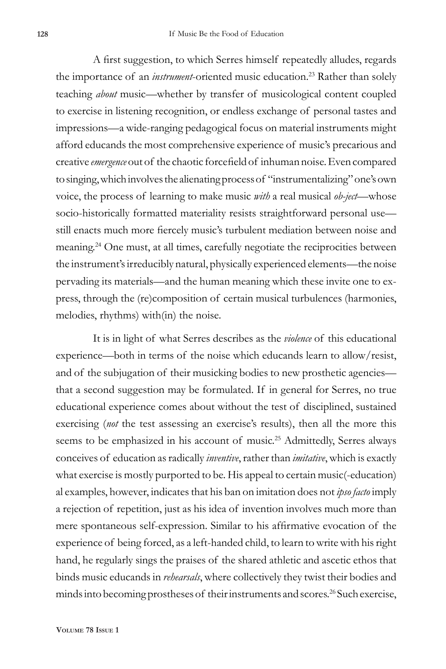A first suggestion, to which Serres himself repeatedly alludes, regards the importance of an *instrument*-oriented music education.<sup>23</sup> Rather than solely teaching *about* music—whether by transfer of musicological content coupled to exercise in listening recognition, or endless exchange of personal tastes and impressions—a wide-ranging pedagogical focus on material instruments might afford educands the most comprehensive experience of music's precarious and creative *emergence* out of the chaotic forcefield of inhuman noise. Even compared to singing, which involves the alienating process of "instrumentalizing" one's own voice, the process of learning to make music *with* a real musical *ob-ject*—whose socio-historically formatted materiality resists straightforward personal use still enacts much more fiercely music's turbulent mediation between noise and meaning.24 One must, at all times, carefully negotiate the reciprocities between the instrument's irreducibly natural, physically experienced elements—the noise pervading its materials—and the human meaning which these invite one to express, through the (re)composition of certain musical turbulences (harmonies, melodies, rhythms) with(in) the noise.

It is in light of what Serres describes as the *violence* of this educational experience—both in terms of the noise which educands learn to allow/resist, and of the subjugation of their musicking bodies to new prosthetic agencies that a second suggestion may be formulated. If in general for Serres, no true educational experience comes about without the test of disciplined, sustained exercising (*not* the test assessing an exercise's results), then all the more this seems to be emphasized in his account of music.<sup>25</sup> Admittedly, Serres always conceives of education as radically *inventive*, rather than *imitative*, which is exactly what exercise is mostly purported to be. His appeal to certain music(-education) al examples, however, indicates that his ban on imitation does not *ipso facto* imply a rejection of repetition, just as his idea of invention involves much more than mere spontaneous self-expression. Similar to his affirmative evocation of the experience of being forced, as a left-handed child, to learn to write with his right hand, he regularly sings the praises of the shared athletic and ascetic ethos that binds music educands in *rehearsals*, where collectively they twist their bodies and minds into becoming prostheses of their instruments and scores.<sup>26</sup> Such exercise,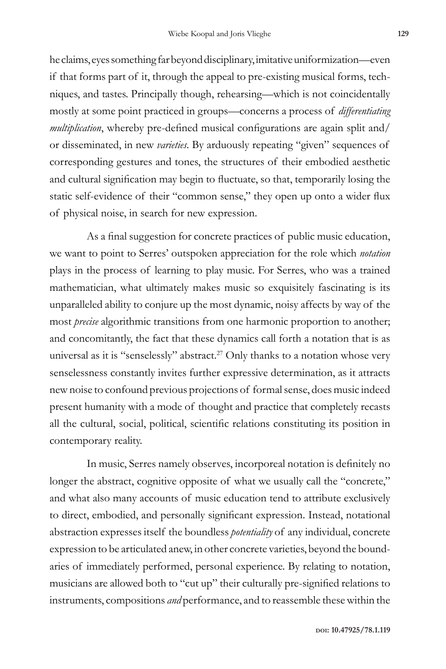he claims, eyes something far beyond disciplinary, imitative uniformization—even if that forms part of it, through the appeal to pre-existing musical forms, techniques, and tastes. Principally though, rehearsing—which is not coincidentally mostly at some point practiced in groups—concerns a process of *differentiating multiplication*, whereby pre-defined musical configurations are again split and/ or disseminated, in new *varieties*. By arduously repeating "given" sequences of corresponding gestures and tones, the structures of their embodied aesthetic and cultural signification may begin to fluctuate, so that, temporarily losing the static self-evidence of their "common sense," they open up onto a wider flux of physical noise, in search for new expression.

As a final suggestion for concrete practices of public music education, we want to point to Serres' outspoken appreciation for the role which *notation* plays in the process of learning to play music. For Serres, who was a trained mathematician, what ultimately makes music so exquisitely fascinating is its unparalleled ability to conjure up the most dynamic, noisy affects by way of the most *precise* algorithmic transitions from one harmonic proportion to another; and concomitantly, the fact that these dynamics call forth a notation that is as universal as it is "senselessly" abstract.<sup>27</sup> Only thanks to a notation whose very senselessness constantly invites further expressive determination, as it attracts new noise to confound previous projections of formal sense, does music indeed present humanity with a mode of thought and practice that completely recasts all the cultural, social, political, scientific relations constituting its position in contemporary reality.

In music, Serres namely observes, incorporeal notation is definitely no longer the abstract, cognitive opposite of what we usually call the "concrete," and what also many accounts of music education tend to attribute exclusively to direct, embodied, and personally significant expression. Instead, notational abstraction expresses itself the boundless *potentiality* of any individual, concrete expression to be articulated anew, in other concrete varieties, beyond the boundaries of immediately performed, personal experience. By relating to notation, musicians are allowed both to "cut up" their culturally pre-signified relations to instruments, compositions *and* performance, and to reassemble these within the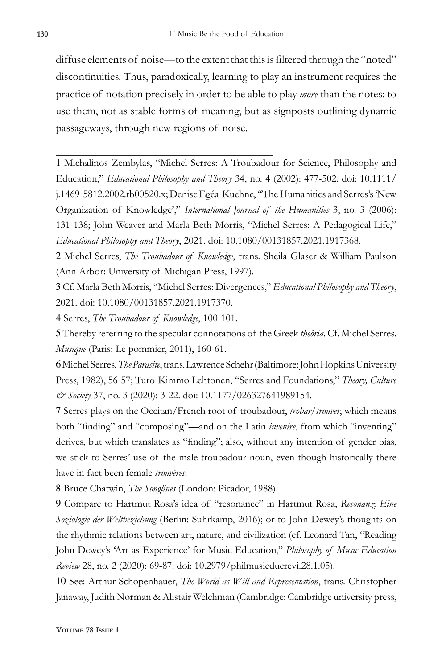diffuse elements of noise—to the extent that this is filtered through the "noted" discontinuities. Thus, paradoxically, learning to play an instrument requires the practice of notation precisely in order to be able to play *more* than the notes: to use them, not as stable forms of meaning, but as signposts outlining dynamic passageways, through new regions of noise.

1 Michalinos Zembylas, "Michel Serres: A Troubadour for Science, Philosophy and Education," *Educational Philosophy and Theory* 34, no. 4 (2002): 477-502. doi: 10.1111/ j.1469-5812.2002.tb00520.x; Denise Egéa-Kuehne, "The Humanities and Serres's 'New Organization of Knowledge'," *International Journal of the Humanities* 3, no. 3 (2006): 131-138; John Weaver and Marla Beth Morris, "Michel Serres: A Pedagogical Life," *Educational Philosophy and Theory*, 2021. doi: 10.1080/00131857.2021.1917368.

2 Michel Serres, *The Troubadour of Knowledge*, trans. Sheila Glaser & William Paulson (Ann Arbor: University of Michigan Press, 1997).

3 Cf. Marla Beth Morris, "Michel Serres: Divergences," *Educational Philosophy and Theory*, 2021. doi: 10.1080/00131857.2021.1917370.

4 Serres, *The Troubadour of Knowledge*, 100-101.

5 Thereby referring to the specular connotations of the Greek *theōria*. Cf. Michel Serres. *Musique* (Paris: Le pommier, 2011), 160-61.

6 Michel Serres, *The Parasite*, trans. Lawrence Schehr (Baltimore: John Hopkins University Press, 1982), 56-57; Turo-Kimmo Lehtonen, "Serres and Foundations," *Theory, Culture & Society* 37, no. 3 (2020): 3-22. doi: 10.1177/026327641989154.

7 Serres plays on the Occitan/French root of troubadour, *trobar/trouver*, which means both "finding" and "composing"—and on the Latin *invenire*, from which "inventing" derives, but which translates as "finding"; also, without any intention of gender bias, we stick to Serres' use of the male troubadour noun, even though historically there have in fact been female *trouvères*.

8 Bruce Chatwin, *The Songlines* (London: Picador, 1988).

9 Compare to Hartmut Rosa's idea of "resonance" in Hartmut Rosa, *Resonanz: Eine Soziologie der Weltbeziehung* (Berlin: Suhrkamp, 2016); or to John Dewey's thoughts on the rhythmic relations between art, nature, and civilization (cf. Leonard Tan, "Reading John Dewey's 'Art as Experience' for Music Education," *Philosophy of Music Education Review* 28, no. 2 (2020): 69-87. doi: 10.2979/philmusieducrevi.28.1.05).

10 See: Arthur Schopenhauer, *The World as Will and Representation*, trans. Christopher Janaway, Judith Norman & Alistair Welchman (Cambridge: Cambridge university press,